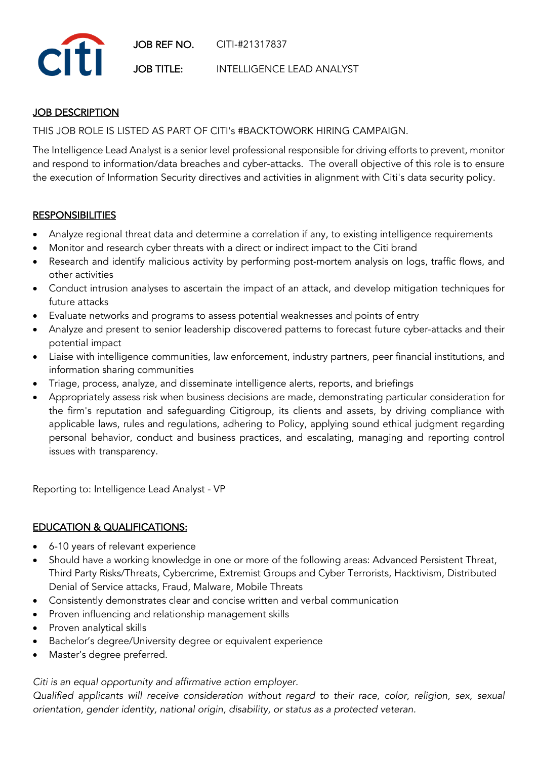

# **JOB DESCRIPTION**

THIS JOB ROLE IS LISTED AS PART OF CITI's #BACKTOWORK HIRING CAMPAIGN.

The Intelligence Lead Analyst is a senior level professional responsible for driving efforts to prevent, monitor and respond to information/data breaches and cyber-attacks. The overall objective of this role is to ensure the execution of Information Security directives and activities in alignment with Citi's data security policy.

# **RESPONSIBILITIES**

- Analyze regional threat data and determine a correlation if any, to existing intelligence requirements
- Monitor and research cyber threats with a direct or indirect impact to the Citi brand
- Research and identify malicious activity by performing post-mortem analysis on logs, traffic flows, and other activities
- Conduct intrusion analyses to ascertain the impact of an attack, and develop mitigation techniques for future attacks
- Evaluate networks and programs to assess potential weaknesses and points of entry
- Analyze and present to senior leadership discovered patterns to forecast future cyber-attacks and their potential impact
- Liaise with intelligence communities, law enforcement, industry partners, peer financial institutions, and information sharing communities
- Triage, process, analyze, and disseminate intelligence alerts, reports, and briefings
- Appropriately assess risk when business decisions are made, demonstrating particular consideration for the firm's reputation and safeguarding Citigroup, its clients and assets, by driving compliance with applicable laws, rules and regulations, adhering to Policy, applying sound ethical judgment regarding personal behavior, conduct and business practices, and escalating, managing and reporting control issues with transparency.

Reporting to: Intelligence Lead Analyst - VP

# EDUCATION & QUALIFICATIONS:

- 6-10 years of relevant experience
- Should have a working knowledge in one or more of the following areas: Advanced Persistent Threat, Third Party Risks/Threats, Cybercrime, Extremist Groups and Cyber Terrorists, Hacktivism, Distributed Denial of Service attacks, Fraud, Malware, Mobile Threats
- Consistently demonstrates clear and concise written and verbal communication
- Proven influencing and relationship management skills
- Proven analytical skills
- Bachelor's degree/University degree or equivalent experience
- Master's degree preferred.

### *Citi is an equal opportunity and affirmative action employer.*

*Qualified applicants will receive consideration without regard to their race, color, religion, sex, sexual orientation, gender identity, national origin, disability, or status as a protected veteran.*